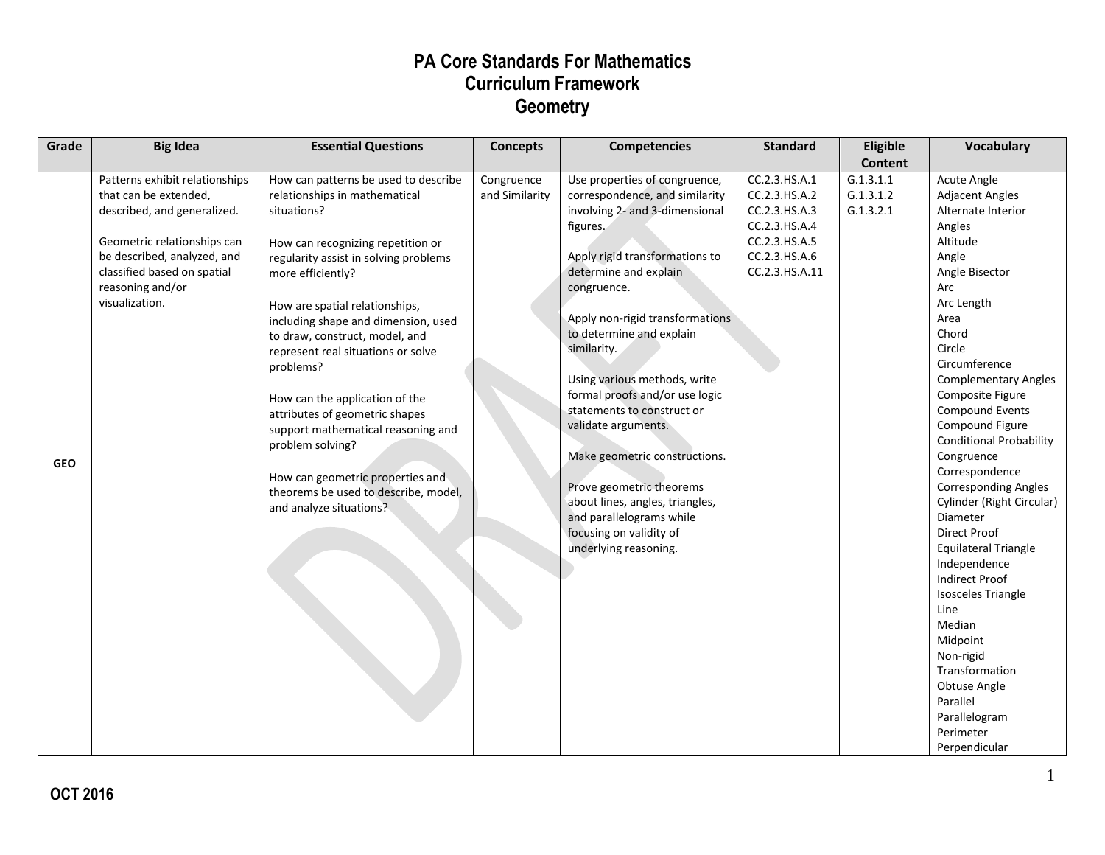| Grade      | <b>Big Idea</b>                                                                                                                                                                                                           | <b>Essential Questions</b>                                                                                                                                                                                                                                                                                                                                                                                                                                                                                                                                                                 | <b>Concepts</b>              | <b>Competencies</b>                                                                                                                                                                                                                                                                                                                                                                                                                                                                                                                                                          | <b>Standard</b>                                                                                                      | Eligible                                                                                                                                                                 | Vocabulary                                                                                                                                                                                                                                                                                                                                                                                                                                                                                                             |
|------------|---------------------------------------------------------------------------------------------------------------------------------------------------------------------------------------------------------------------------|--------------------------------------------------------------------------------------------------------------------------------------------------------------------------------------------------------------------------------------------------------------------------------------------------------------------------------------------------------------------------------------------------------------------------------------------------------------------------------------------------------------------------------------------------------------------------------------------|------------------------------|------------------------------------------------------------------------------------------------------------------------------------------------------------------------------------------------------------------------------------------------------------------------------------------------------------------------------------------------------------------------------------------------------------------------------------------------------------------------------------------------------------------------------------------------------------------------------|----------------------------------------------------------------------------------------------------------------------|--------------------------------------------------------------------------------------------------------------------------------------------------------------------------|------------------------------------------------------------------------------------------------------------------------------------------------------------------------------------------------------------------------------------------------------------------------------------------------------------------------------------------------------------------------------------------------------------------------------------------------------------------------------------------------------------------------|
|            |                                                                                                                                                                                                                           |                                                                                                                                                                                                                                                                                                                                                                                                                                                                                                                                                                                            |                              |                                                                                                                                                                                                                                                                                                                                                                                                                                                                                                                                                                              |                                                                                                                      |                                                                                                                                                                          |                                                                                                                                                                                                                                                                                                                                                                                                                                                                                                                        |
| <b>GEO</b> | Patterns exhibit relationships<br>that can be extended,<br>described, and generalized.<br>Geometric relationships can<br>be described, analyzed, and<br>classified based on spatial<br>reasoning and/or<br>visualization. | How can patterns be used to describe<br>relationships in mathematical<br>situations?<br>How can recognizing repetition or<br>regularity assist in solving problems<br>more efficiently?<br>How are spatial relationships,<br>including shape and dimension, used<br>to draw, construct, model, and<br>represent real situations or solve<br>problems?<br>How can the application of the<br>attributes of geometric shapes<br>support mathematical reasoning and<br>problem solving?<br>How can geometric properties and<br>theorems be used to describe, model,<br>and analyze situations? | Congruence<br>and Similarity | Use properties of congruence,<br>correspondence, and similarity<br>involving 2- and 3-dimensional<br>figures.<br>Apply rigid transformations to<br>determine and explain<br>congruence.<br>Apply non-rigid transformations<br>to determine and explain<br>similarity.<br>Using various methods, write<br>formal proofs and/or use logic<br>statements to construct or<br>validate arguments.<br>Make geometric constructions.<br>Prove geometric theorems<br>about lines, angles, triangles,<br>and parallelograms while<br>focusing on validity of<br>underlying reasoning. | CC.2.3.HS.A.1<br>CC.2.3.HS.A.2<br>CC.2.3.HS.A.3<br>CC.2.3.HS.A.4<br>CC.2.3.HS.A.5<br>CC.2.3.HS.A.6<br>CC.2.3.HS.A.11 | <b>Content</b><br>G.1.3.1.1<br>G.1.3.1.2<br>G.1.3.2.1                                                                                                                    | Acute Angle<br><b>Adjacent Angles</b><br>Alternate Interior<br>Angles<br>Altitude<br>Angle<br>Angle Bisector<br>Arc<br>Arc Length<br>Area<br>Chord<br>Circle<br>Circumference<br><b>Complementary Angles</b><br>Composite Figure<br><b>Compound Events</b><br>Compound Figure<br><b>Conditional Probability</b><br>Congruence<br>Correspondence<br><b>Corresponding Angles</b><br>Cylinder (Right Circular)<br>Diameter<br><b>Direct Proof</b><br><b>Equilateral Triangle</b><br>Independence<br><b>Indirect Proof</b> |
|            |                                                                                                                                                                                                                           |                                                                                                                                                                                                                                                                                                                                                                                                                                                                                                                                                                                            |                              |                                                                                                                                                                                                                                                                                                                                                                                                                                                                                                                                                                              |                                                                                                                      | <b>Isosceles Triangle</b><br><b>Line</b><br>Median<br>Midpoint<br>Non-rigid<br>Transformation<br>Obtuse Angle<br>Parallel<br>Parallelogram<br>Perimeter<br>Perpendicular |                                                                                                                                                                                                                                                                                                                                                                                                                                                                                                                        |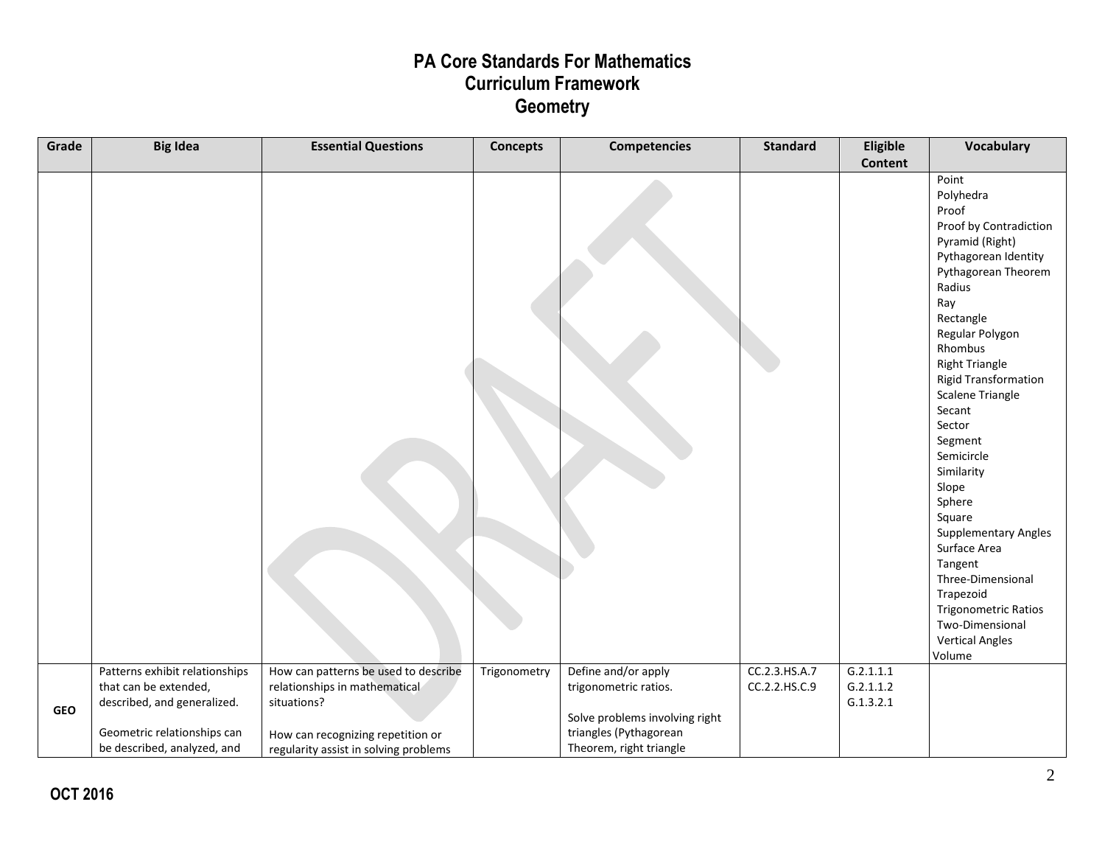| Grade      | <b>Big Idea</b>                                                                                                                                      | <b>Essential Questions</b>                                                                                                                                         | <b>Concepts</b> | <b>Competencies</b>                                                                                                                 | <b>Standard</b>                | Eligible                            | Vocabulary                                                                                                                                                                                                                                                                                                                                                                                                                                                                                                                                       |
|------------|------------------------------------------------------------------------------------------------------------------------------------------------------|--------------------------------------------------------------------------------------------------------------------------------------------------------------------|-----------------|-------------------------------------------------------------------------------------------------------------------------------------|--------------------------------|-------------------------------------|--------------------------------------------------------------------------------------------------------------------------------------------------------------------------------------------------------------------------------------------------------------------------------------------------------------------------------------------------------------------------------------------------------------------------------------------------------------------------------------------------------------------------------------------------|
|            |                                                                                                                                                      |                                                                                                                                                                    |                 |                                                                                                                                     |                                | Content                             |                                                                                                                                                                                                                                                                                                                                                                                                                                                                                                                                                  |
|            |                                                                                                                                                      |                                                                                                                                                                    |                 |                                                                                                                                     |                                |                                     | Point<br>Polyhedra<br>Proof<br>Proof by Contradiction<br>Pyramid (Right)<br>Pythagorean Identity<br>Pythagorean Theorem<br>Radius<br>Ray<br>Rectangle<br>Regular Polygon<br>Rhombus<br><b>Right Triangle</b><br><b>Rigid Transformation</b><br><b>Scalene Triangle</b><br>Secant<br>Sector<br>Segment<br>Semicircle<br>Similarity<br>Slope<br>Sphere<br>Square<br><b>Supplementary Angles</b><br>Surface Area<br>Tangent<br>Three-Dimensional<br>Trapezoid<br><b>Trigonometric Ratios</b><br>Two-Dimensional<br><b>Vertical Angles</b><br>Volume |
| <b>GEO</b> | Patterns exhibit relationships<br>that can be extended,<br>described, and generalized.<br>Geometric relationships can<br>be described, analyzed, and | How can patterns be used to describe<br>relationships in mathematical<br>situations?<br>How can recognizing repetition or<br>regularity assist in solving problems | Trigonometry    | Define and/or apply<br>trigonometric ratios.<br>Solve problems involving right<br>triangles (Pythagorean<br>Theorem, right triangle | CC.2.3.HS.A.7<br>CC.2.2.HS.C.9 | G.2.1.1.1<br>G.2.1.1.2<br>G.1.3.2.1 |                                                                                                                                                                                                                                                                                                                                                                                                                                                                                                                                                  |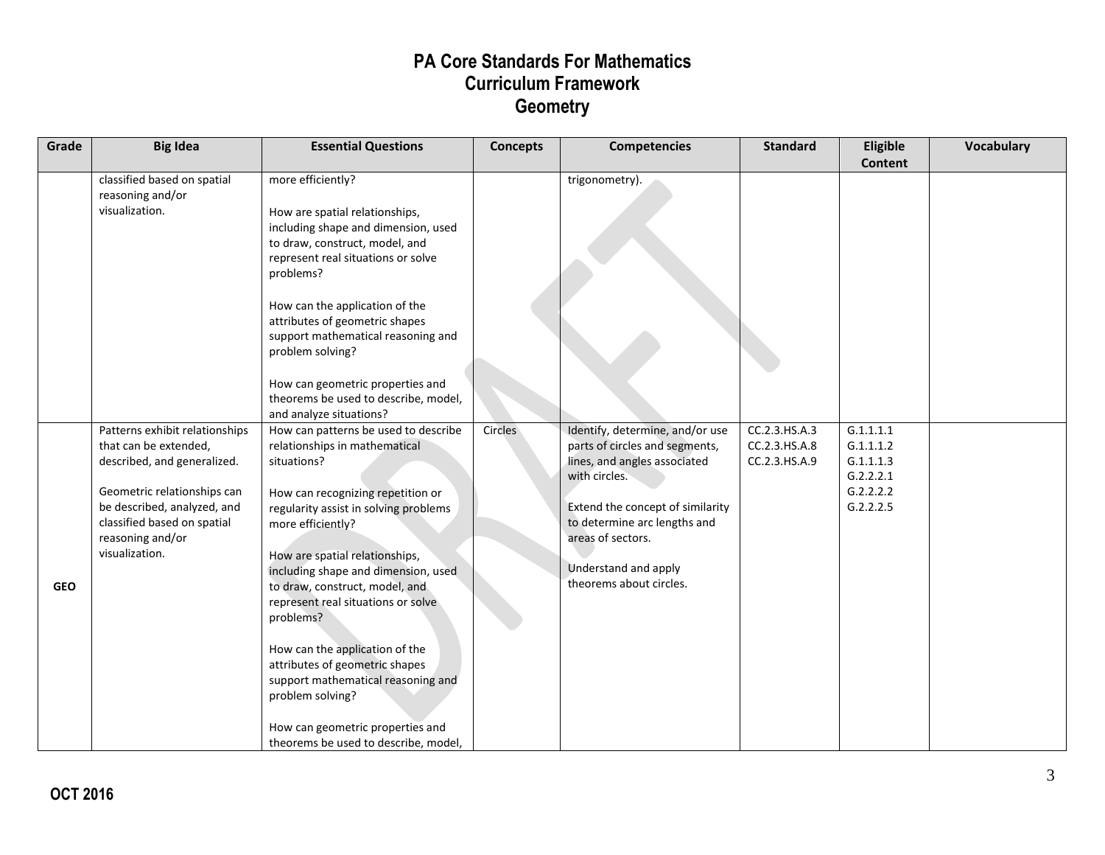| Grade      | <b>Big Idea</b>                                                                                                                                                                                                           | <b>Essential Questions</b>                                                                                                                                                                                                                                                                                                                                                                                                                                                                                                                                      | <b>Concepts</b> | <b>Competencies</b>                                                                                                                                                                                                                                            | <b>Standard</b>                                 | Eligible<br><b>Content</b>                                                 | <b>Vocabulary</b> |
|------------|---------------------------------------------------------------------------------------------------------------------------------------------------------------------------------------------------------------------------|-----------------------------------------------------------------------------------------------------------------------------------------------------------------------------------------------------------------------------------------------------------------------------------------------------------------------------------------------------------------------------------------------------------------------------------------------------------------------------------------------------------------------------------------------------------------|-----------------|----------------------------------------------------------------------------------------------------------------------------------------------------------------------------------------------------------------------------------------------------------------|-------------------------------------------------|----------------------------------------------------------------------------|-------------------|
|            | classified based on spatial<br>reasoning and/or<br>visualization.                                                                                                                                                         | more efficiently?<br>How are spatial relationships,<br>including shape and dimension, used<br>to draw, construct, model, and<br>represent real situations or solve<br>problems?<br>How can the application of the<br>attributes of geometric shapes<br>support mathematical reasoning and<br>problem solving?<br>How can geometric properties and<br>theorems be used to describe, model,<br>and analyze situations?                                                                                                                                            |                 | trigonometry).                                                                                                                                                                                                                                                 |                                                 |                                                                            |                   |
| <b>GEO</b> | Patterns exhibit relationships<br>that can be extended,<br>described, and generalized.<br>Geometric relationships can<br>be described, analyzed, and<br>classified based on spatial<br>reasoning and/or<br>visualization. | How can patterns be used to describe<br>relationships in mathematical<br>situations?<br>How can recognizing repetition or<br>regularity assist in solving problems<br>more efficiently?<br>How are spatial relationships,<br>including shape and dimension, used<br>to draw, construct, model, and<br>represent real situations or solve<br>problems?<br>How can the application of the<br>attributes of geometric shapes<br>support mathematical reasoning and<br>problem solving?<br>How can geometric properties and<br>theorems be used to describe, model, | Circles         | Identify, determine, and/or use<br>parts of circles and segments,<br>lines, and angles associated<br>with circles.<br>Extend the concept of similarity<br>to determine arc lengths and<br>areas of sectors.<br>Understand and apply<br>theorems about circles. | CC.2.3.HS.A.3<br>CC.2.3.HS.A.8<br>CC.2.3.HS.A.9 | G.1.1.1.1<br>G.1.1.1.2<br>G.1.1.1.3<br>G.2.2.2.1<br>G.2.2.2.2<br>G.2.2.2.5 |                   |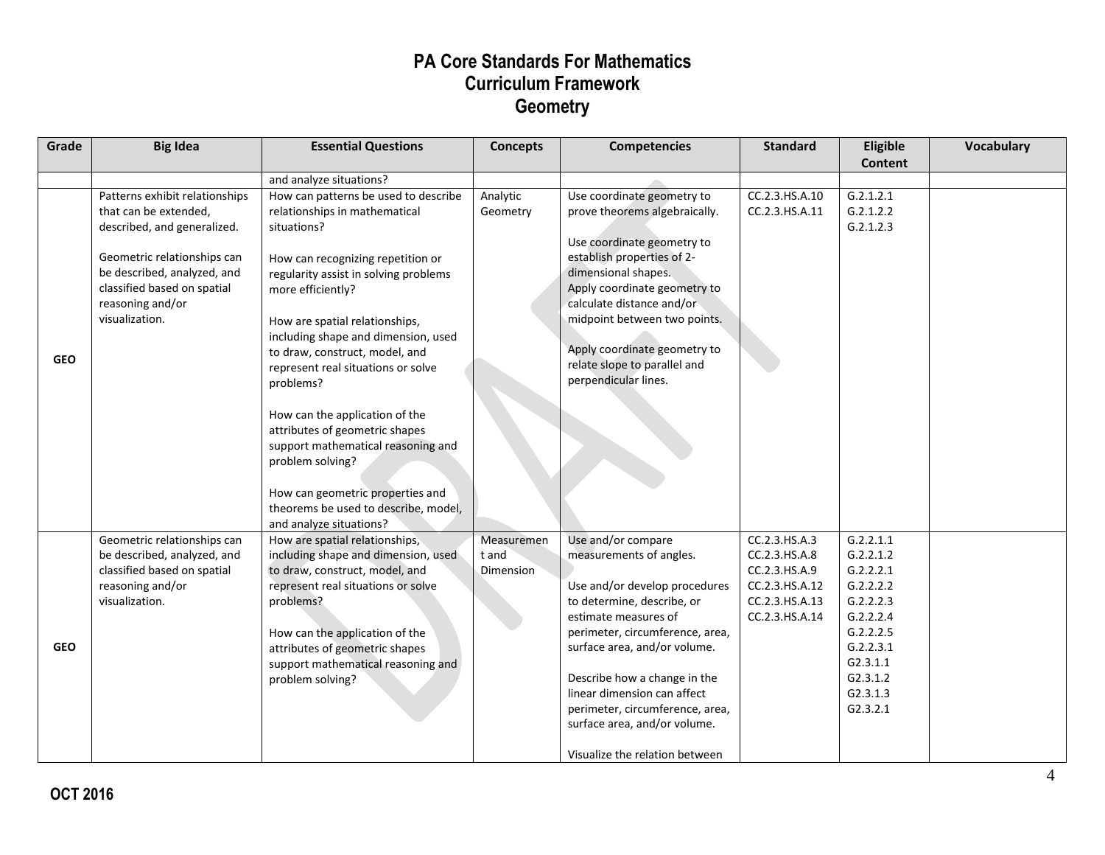| Grade      | <b>Big Idea</b>                                                                                                                                                                                                           | <b>Essential Questions</b>                                                                                                                                                                                                                                                                                                                                                                                                                                                                                                                                                                 | <b>Concepts</b>                         | <b>Competencies</b>                                                                                                                                                                                                                                                                                                                                                         | <b>Standard</b>                                                                                       | Eligible<br><b>Content</b>                                                                                                                           | <b>Vocabulary</b> |
|------------|---------------------------------------------------------------------------------------------------------------------------------------------------------------------------------------------------------------------------|--------------------------------------------------------------------------------------------------------------------------------------------------------------------------------------------------------------------------------------------------------------------------------------------------------------------------------------------------------------------------------------------------------------------------------------------------------------------------------------------------------------------------------------------------------------------------------------------|-----------------------------------------|-----------------------------------------------------------------------------------------------------------------------------------------------------------------------------------------------------------------------------------------------------------------------------------------------------------------------------------------------------------------------------|-------------------------------------------------------------------------------------------------------|------------------------------------------------------------------------------------------------------------------------------------------------------|-------------------|
|            |                                                                                                                                                                                                                           | and analyze situations?                                                                                                                                                                                                                                                                                                                                                                                                                                                                                                                                                                    |                                         |                                                                                                                                                                                                                                                                                                                                                                             |                                                                                                       |                                                                                                                                                      |                   |
| <b>GEO</b> | Patterns exhibit relationships<br>that can be extended,<br>described, and generalized.<br>Geometric relationships can<br>be described, analyzed, and<br>classified based on spatial<br>reasoning and/or<br>visualization. | How can patterns be used to describe<br>relationships in mathematical<br>situations?<br>How can recognizing repetition or<br>regularity assist in solving problems<br>more efficiently?<br>How are spatial relationships,<br>including shape and dimension, used<br>to draw, construct, model, and<br>represent real situations or solve<br>problems?<br>How can the application of the<br>attributes of geometric shapes<br>support mathematical reasoning and<br>problem solving?<br>How can geometric properties and<br>theorems be used to describe, model,<br>and analyze situations? | Analytic<br>Geometry                    | Use coordinate geometry to<br>prove theorems algebraically.<br>Use coordinate geometry to<br>establish properties of 2-<br>dimensional shapes.<br>Apply coordinate geometry to<br>calculate distance and/or<br>midpoint between two points.<br>Apply coordinate geometry to<br>relate slope to parallel and<br>perpendicular lines.                                         | CC.2.3.HS.A.10<br>CC.2.3.HS.A.11                                                                      | G.2.1.2.1<br>G.2.1.2.2<br>G.2.1.2.3                                                                                                                  |                   |
| <b>GEO</b> | Geometric relationships can<br>be described, analyzed, and<br>classified based on spatial<br>reasoning and/or<br>visualization.                                                                                           | How are spatial relationships,<br>including shape and dimension, used<br>to draw, construct, model, and<br>represent real situations or solve<br>problems?<br>How can the application of the<br>attributes of geometric shapes<br>support mathematical reasoning and<br>problem solving?                                                                                                                                                                                                                                                                                                   | Measuremen<br>t and<br><b>Dimension</b> | Use and/or compare<br>measurements of angles.<br>Use and/or develop procedures<br>to determine, describe, or<br>estimate measures of<br>perimeter, circumference, area,<br>surface area, and/or volume.<br>Describe how a change in the<br>linear dimension can affect<br>perimeter, circumference, area,<br>surface area, and/or volume.<br>Visualize the relation between | CC.2.3.HS.A.3<br>CC.2.3.HS.A.8<br>CC.2.3.HS.A.9<br>CC.2.3.HS.A.12<br>CC.2.3.HS.A.13<br>CC.2.3.HS.A.14 | G.2.2.1.1<br>G.2.2.1.2<br>G.2.2.2.1<br>G.2.2.2.2<br>G.2.2.2.3<br>G.2.2.2.4<br>G.2.2.2.5<br>G.2.2.3.1<br>G2.3.1.1<br>G2.3.1.2<br>G2.3.1.3<br>G2.3.2.1 |                   |